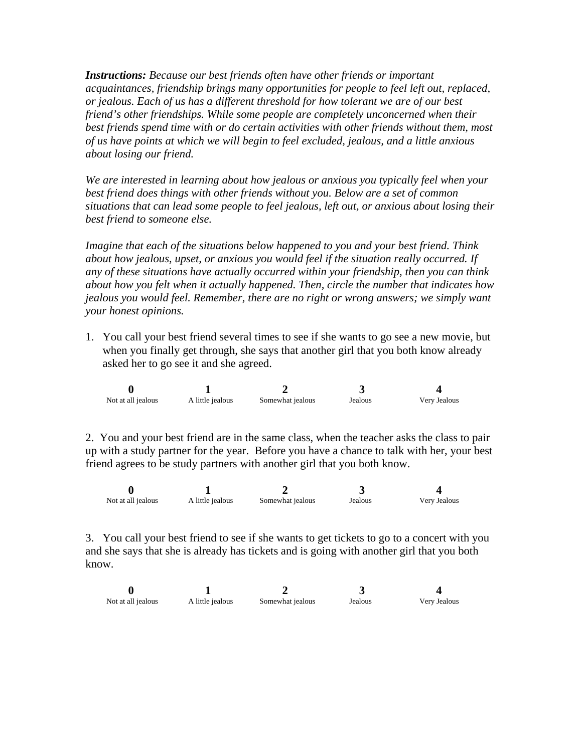*Instructions: Because our best friends often have other friends or important acquaintances, friendship brings many opportunities for people to feel left out, replaced, or jealous. Each of us has a different threshold for how tolerant we are of our best friend's other friendships. While some people are completely unconcerned when their best friends spend time with or do certain activities with other friends without them, most of us have points at which we will begin to feel excluded, jealous, and a little anxious about losing our friend.* 

*We are interested in learning about how jealous or anxious you typically feel when your best friend does things with other friends without you. Below are a set of common situations that can lead some people to feel jealous, left out, or anxious about losing their best friend to someone else.* 

*Imagine that each of the situations below happened to you and your best friend. Think about how jealous, upset, or anxious you would feel if the situation really occurred. If any of these situations have actually occurred within your friendship, then you can think about how you felt when it actually happened. Then, circle the number that indicates how jealous you would feel. Remember, there are no right or wrong answers; we simply want your honest opinions.*

1. You call your best friend several times to see if she wants to go see a new movie, but when you finally get through, she says that another girl that you both know already asked her to go see it and she agreed.

| Not at all jealous | A little jealous | Somewhat jealous | Jealous | Very Jealous |
|--------------------|------------------|------------------|---------|--------------|

2. You and your best friend are in the same class, when the teacher asks the class to pair up with a study partner for the year. Before you have a chance to talk with her, your best friend agrees to be study partners with another girl that you both know.

| Not at all jealous | A little jealous | Somewhat jealous | Jealous | Very Jealous |
|--------------------|------------------|------------------|---------|--------------|

3. You call your best friend to see if she wants to get tickets to go to a concert with you and she says that she is already has tickets and is going with another girl that you both know.

| Not at all jealous | A little jealous | Somewhat jealous | Jealous | Very Jealous |
|--------------------|------------------|------------------|---------|--------------|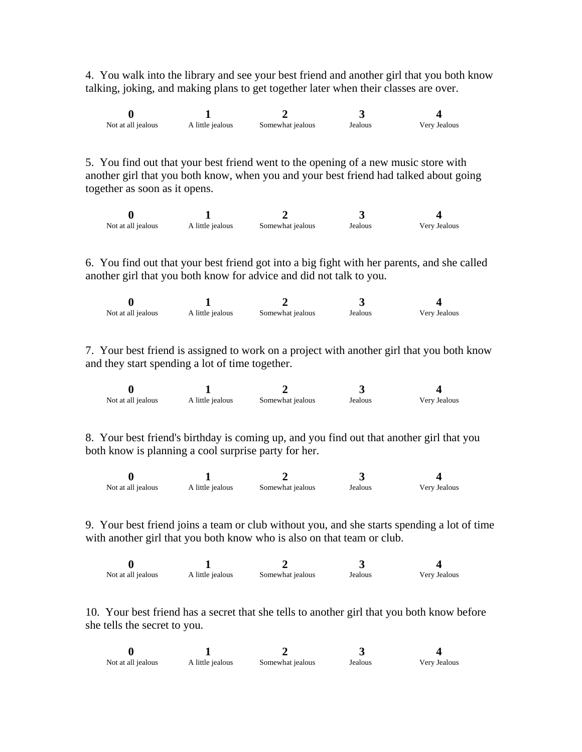4. You walk into the library and see your best friend and another girl that you both know talking, joking, and making plans to get together later when their classes are over.

| Not at all jealous | A little jealous | Somewhat jealous | Jealous | Very Jealous |
|--------------------|------------------|------------------|---------|--------------|

5. You find out that your best friend went to the opening of a new music store with another girl that you both know, when you and your best friend had talked about going together as soon as it opens.

| Not at all jealous | A little jealous | Somewhat jealous | Jealous | Very Jealous |
|--------------------|------------------|------------------|---------|--------------|

6. You find out that your best friend got into a big fight with her parents, and she called another girl that you both know for advice and did not talk to you.

| Not at all jealous | A little jealous | Somewhat jealous | Jealous | Very Jealous |
|--------------------|------------------|------------------|---------|--------------|

7. Your best friend is assigned to work on a project with another girl that you both know and they start spending a lot of time together.

| Not at all jealous | A little jealous | Somewhat jealous | Jealous | Very Jealous |
|--------------------|------------------|------------------|---------|--------------|

8. Your best friend's birthday is coming up, and you find out that another girl that you both know is planning a cool surprise party for her.

| Not at all jealous | A little jealous | Somewhat jealous | Jealous | Very Jealous |
|--------------------|------------------|------------------|---------|--------------|

9. Your best friend joins a team or club without you, and she starts spending a lot of time with another girl that you both know who is also on that team or club.

| Not at all jealous | A little jealous | Somewhat jealous | Jealous | Very Jealous |
|--------------------|------------------|------------------|---------|--------------|

10. Your best friend has a secret that she tells to another girl that you both know before she tells the secret to you.

| Not at all jealous | A little jealous | Somewhat jealous | Jealous | Very Jealous |
|--------------------|------------------|------------------|---------|--------------|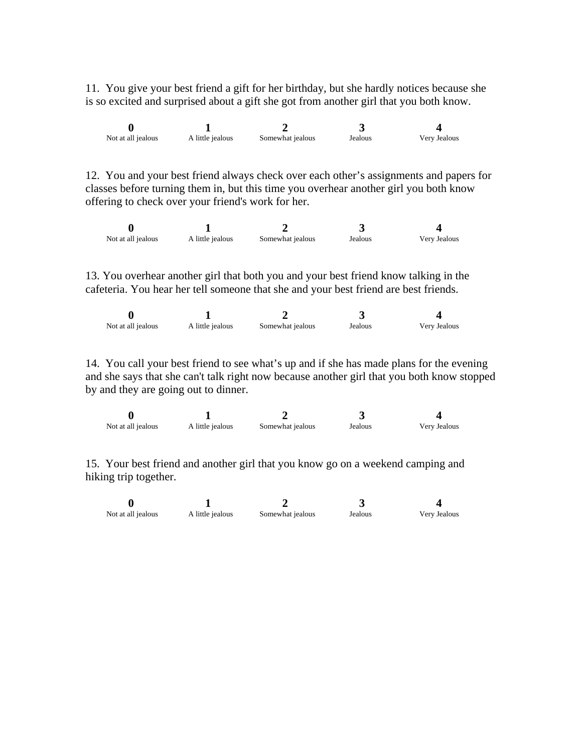11. You give your best friend a gift for her birthday, but she hardly notices because she is so excited and surprised about a gift she got from another girl that you both know.

| Not at all jealous | A little jealous | Somewhat jealous | Jealous | Very Jealous |
|--------------------|------------------|------------------|---------|--------------|

12. You and your best friend always check over each other's assignments and papers for classes before turning them in, but this time you overhear another girl you both know offering to check over your friend's work for her.

| Not at all jealous | A little jealous | Somewhat jealous | Jealous | Very Jealous |
|--------------------|------------------|------------------|---------|--------------|

13. You overhear another girl that both you and your best friend know talking in the cafeteria. You hear her tell someone that she and your best friend are best friends.

| Not at all jealous | A little jealous | Somewhat jealous | Jealous | Very Jealous |
|--------------------|------------------|------------------|---------|--------------|

14. You call your best friend to see what's up and if she has made plans for the evening and she says that she can't talk right now because another girl that you both know stopped by and they are going out to dinner.

| Not at all jealous | A little jealous | Somewhat jealous | Jealous | Very Jealous |
|--------------------|------------------|------------------|---------|--------------|

15. Your best friend and another girl that you know go on a weekend camping and hiking trip together.

| Not at all jealous | A little jealous | Somewhat jealous | Jealous | Very Jealous |
|--------------------|------------------|------------------|---------|--------------|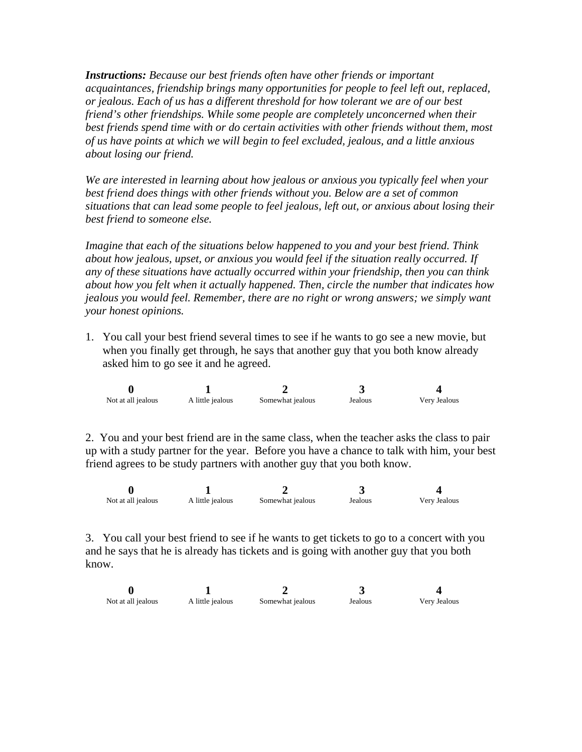*Instructions: Because our best friends often have other friends or important acquaintances, friendship brings many opportunities for people to feel left out, replaced, or jealous. Each of us has a different threshold for how tolerant we are of our best friend's other friendships. While some people are completely unconcerned when their best friends spend time with or do certain activities with other friends without them, most of us have points at which we will begin to feel excluded, jealous, and a little anxious about losing our friend.* 

*We are interested in learning about how jealous or anxious you typically feel when your best friend does things with other friends without you. Below are a set of common situations that can lead some people to feel jealous, left out, or anxious about losing their best friend to someone else.* 

*Imagine that each of the situations below happened to you and your best friend. Think about how jealous, upset, or anxious you would feel if the situation really occurred. If any of these situations have actually occurred within your friendship, then you can think about how you felt when it actually happened. Then, circle the number that indicates how jealous you would feel. Remember, there are no right or wrong answers; we simply want your honest opinions.*

1. You call your best friend several times to see if he wants to go see a new movie, but when you finally get through, he says that another guy that you both know already asked him to go see it and he agreed.

| Not at all jealous | A little jealous | Somewhat jealous | Jealous | Very Jealous |
|--------------------|------------------|------------------|---------|--------------|

2. You and your best friend are in the same class, when the teacher asks the class to pair up with a study partner for the year. Before you have a chance to talk with him, your best friend agrees to be study partners with another guy that you both know.

| Not at all jealous | A little jealous | Somewhat jealous | Jealous | Very Jealous |
|--------------------|------------------|------------------|---------|--------------|

3. You call your best friend to see if he wants to get tickets to go to a concert with you and he says that he is already has tickets and is going with another guy that you both know.

| Not at all jealous | A little jealous | Somewhat jealous | Jealous | Very Jealous |
|--------------------|------------------|------------------|---------|--------------|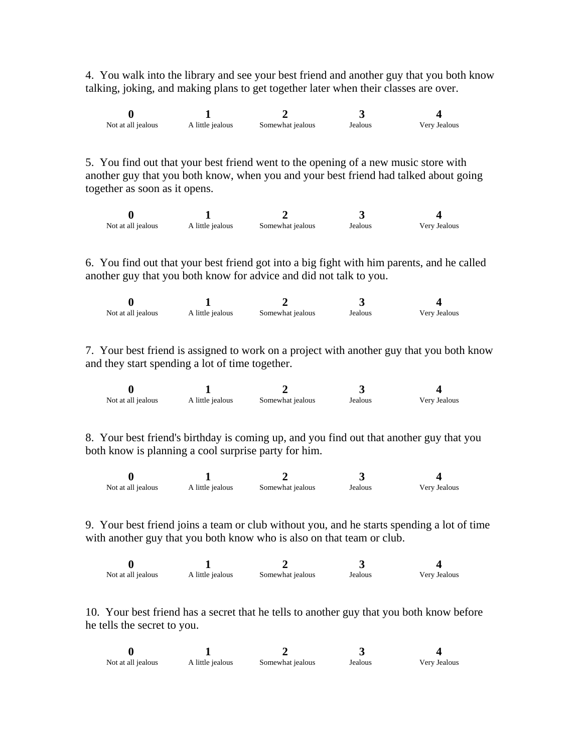4. You walk into the library and see your best friend and another guy that you both know talking, joking, and making plans to get together later when their classes are over.

| Not at all jealous | A little jealous | Somewhat jealous | Jealous | Very Jealous |
|--------------------|------------------|------------------|---------|--------------|

5. You find out that your best friend went to the opening of a new music store with another guy that you both know, when you and your best friend had talked about going together as soon as it opens.

| Not at all jealous | A little jealous | Somewhat jealous | Jealous | Very Jealous |
|--------------------|------------------|------------------|---------|--------------|

6. You find out that your best friend got into a big fight with him parents, and he called another guy that you both know for advice and did not talk to you.

| Not at all jealous | A little jealous | Somewhat jealous | Jealous | Verv Jealous |
|--------------------|------------------|------------------|---------|--------------|

7. Your best friend is assigned to work on a project with another guy that you both know and they start spending a lot of time together.

| Not at all jealous | A little jealous | Somewhat jealous | Jealous | Very Jealous |
|--------------------|------------------|------------------|---------|--------------|

8. Your best friend's birthday is coming up, and you find out that another guy that you both know is planning a cool surprise party for him.

| Not at all jealous | A little jealous | Somewhat jealous | Jealous | Very Jealous |
|--------------------|------------------|------------------|---------|--------------|

9. Your best friend joins a team or club without you, and he starts spending a lot of time with another guy that you both know who is also on that team or club.

| Not at all jealous | A little jealous | Somewhat jealous | Jealous | Very Jealous |
|--------------------|------------------|------------------|---------|--------------|

10. Your best friend has a secret that he tells to another guy that you both know before he tells the secret to you.

| Not at all jealous | A little jealous | Somewhat jealous | Jealous | Very Jealous |
|--------------------|------------------|------------------|---------|--------------|